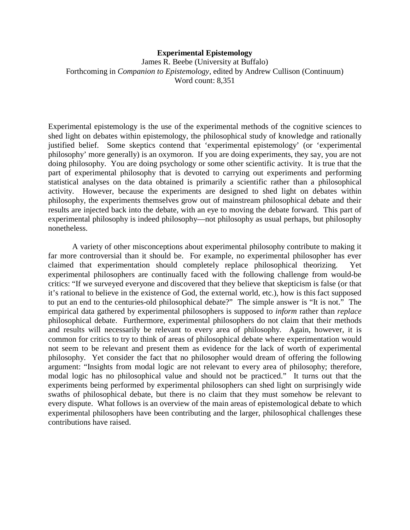## **Experimental Epistemology**

James R. Beebe (University at Buffalo) Forthcoming in *Companion to Epistemology*, edited by Andrew Cullison (Continuum) Word count: 8,351

Experimental epistemology is the use of the experimental methods of the cognitive sciences to shed light on debates within epistemology, the philosophical study of knowledge and rationally justified belief. Some skeptics contend that 'experimental epistemology' (or 'experimental philosophy' more generally) is an oxymoron. If you are doing experiments, they say, you are not doing philosophy. You are doing psychology or some other scientific activity. It is true that the part of experimental philosophy that is devoted to carrying out experiments and performing statistical analyses on the data obtained is primarily a scientific rather than a philosophical activity. However, because the experiments are designed to shed light on debates within philosophy, the experiments themselves grow out of mainstream philosophical debate and their results are injected back into the debate, with an eye to moving the debate forward. This part of experimental philosophy is indeed philosophy—not philosophy as usual perhaps, but philosophy nonetheless.

A variety of other misconceptions about experimental philosophy contribute to making it far more controversial than it should be. For example, no experimental philosopher has ever claimed that experimentation should completely replace philosophical theorizing. Yet experimental philosophers are continually faced with the following challenge from would-be critics: "If we surveyed everyone and discovered that they believe that skepticism is false (or that it's rational to believe in the existence of God, the external world, etc.), how is this fact supposed to put an end to the centuries-old philosophical debate?" The simple answer is "It is not." The empirical data gathered by experimental philosophers is supposed to *inform* rather than *replace* philosophical debate. Furthermore, experimental philosophers do not claim that their methods and results will necessarily be relevant to every area of philosophy. Again, however, it is common for critics to try to think of areas of philosophical debate where experimentation would not seem to be relevant and present them as evidence for the lack of worth of experimental philosophy. Yet consider the fact that no philosopher would dream of offering the following argument: "Insights from modal logic are not relevant to every area of philosophy; therefore, modal logic has no philosophical value and should not be practiced." It turns out that the experiments being performed by experimental philosophers can shed light on surprisingly wide swaths of philosophical debate, but there is no claim that they must somehow be relevant to every dispute. What follows is an overview of the main areas of epistemological debate to which experimental philosophers have been contributing and the larger, philosophical challenges these contributions have raised.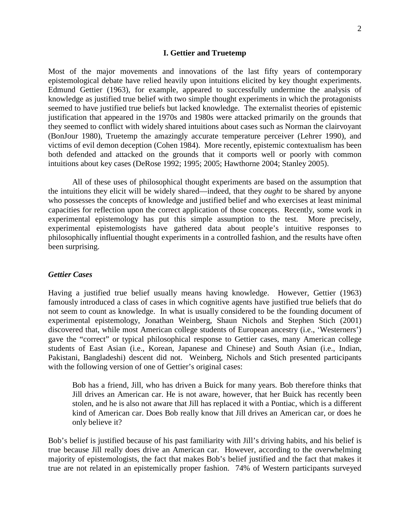#### **I. Gettier and Truetemp**

Most of the major movements and innovations of the last fifty years of contemporary epistemological debate have relied heavily upon intuitions elicited by key thought experiments. Edmund Gettier (1963), for example, appeared to successfully undermine the analysis of knowledge as justified true belief with two simple thought experiments in which the protagonists seemed to have justified true beliefs but lacked knowledge. The externalist theories of epistemic justification that appeared in the 1970s and 1980s were attacked primarily on the grounds that they seemed to conflict with widely shared intuitions about cases such as Norman the clairvoyant (BonJour 1980), Truetemp the amazingly accurate temperature perceiver (Lehrer 1990), and victims of evil demon deception (Cohen 1984). More recently, epistemic contextualism has been both defended and attacked on the grounds that it comports well or poorly with common intuitions about key cases (DeRose 1992; 1995; 2005; Hawthorne 2004; Stanley 2005).

All of these uses of philosophical thought experiments are based on the assumption that the intuitions they elicit will be widely shared—indeed, that they *ought* to be shared by anyone who possesses the concepts of knowledge and justified belief and who exercises at least minimal capacities for reflection upon the correct application of those concepts. Recently, some work in experimental epistemology has put this simple assumption to the test. More precisely, experimental epistemologists have gathered data about people's intuitive responses to philosophically influential thought experiments in a controlled fashion, and the results have often been surprising.

#### *Gettier Cases*

Having a justified true belief usually means having knowledge. However, Gettier (1963) famously introduced a class of cases in which cognitive agents have justified true beliefs that do not seem to count as knowledge. In what is usually considered to be the founding document of experimental epistemology, Jonathan Weinberg, Shaun Nichols and Stephen Stich (2001) discovered that, while most American college students of European ancestry (i.e., 'Westerners') gave the "correct" or typical philosophical response to Gettier cases, many American college students of East Asian (i.e., Korean, Japanese and Chinese) and South Asian (i.e., Indian, Pakistani, Bangladeshi) descent did not. Weinberg, Nichols and Stich presented participants with the following version of one of Gettier's original cases:

Bob has a friend, Jill, who has driven a Buick for many years. Bob therefore thinks that Jill drives an American car. He is not aware, however, that her Buick has recently been stolen, and he is also not aware that Jill has replaced it with a Pontiac, which is a different kind of American car. Does Bob really know that Jill drives an American car, or does he only believe it?

Bob's belief is justified because of his past familiarity with Jill's driving habits, and his belief is true because Jill really does drive an American car. However, according to the overwhelming majority of epistemologists, the fact that makes Bob's belief justified and the fact that makes it true are not related in an epistemically proper fashion. 74% of Western participants surveyed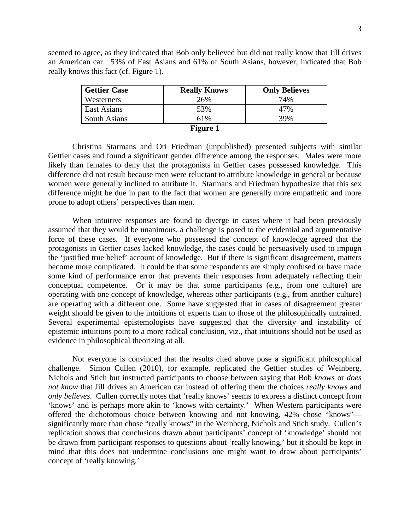seemed to agree, as they indicated that Bob only believed but did not really know that Jill drives an American car. 53% of East Asians and 61% of South Asians, however, indicated that Bob really knows this fact (cf. Figure 1).

| <b>Gettier Case</b> | <b>Really Knows</b> | <b>Only Believes</b> |
|---------------------|---------------------|----------------------|
| Westerners          | 26%                 | 74%                  |
| East Asians         | 53%                 | 47%                  |
| South Asians        | 61%                 | 39%                  |
| <b>Figure 1</b>     |                     |                      |

Christina Starmans and Ori Friedman (unpublished) presented subjects with similar Gettier cases and found a significant gender difference among the responses. Males were more likely than females to deny that the protagonists in Gettier cases possessed knowledge. This difference did not result because men were reluctant to attribute knowledge in general or because women were generally inclined to attribute it. Starmans and Friedman hypothesize that this sex difference might be due in part to the fact that women are generally more empathetic and more prone to adopt others' perspectives than men.

When intuitive responses are found to diverge in cases where it had been previously assumed that they would be unanimous, a challenge is posed to the evidential and argumentative force of these cases. If everyone who possessed the concept of knowledge agreed that the protagonists in Gettier cases lacked knowledge, the cases could be persuasively used to impugn the 'justified true belief' account of knowledge. But if there is significant disagreement, matters become more complicated. It could be that some respondents are simply confused or have made some kind of performance error that prevents their responses from adequately reflecting their conceptual competence. Or it may be that some participants (e.g., from one culture) are operating with one concept of knowledge, whereas other participants (e.g., from another culture) are operating with a different one. Some have suggested that in cases of disagreement greater weight should be given to the intuitions of experts than to those of the philosophically untrained. Several experimental epistemologists have suggested that the diversity and instability of epistemic intuitions point to a more radical conclusion, viz., that intuitions should not be used as evidence in philosophical theorizing at all.

Not everyone is convinced that the results cited above pose a significant philosophical challenge. Simon Cullen (2010), for example, replicated the Gettier studies of Weinberg, Nichols and Stich but instructed participants to choose between saying that Bob *knows* or *does not know* that Jill drives an American car instead of offering them the choices *really knows* and *only believes*. Cullen correctly notes that 'really knows' seems to express a distinct concept from 'knows' and is perhaps more akin to 'knows with certainty.' When Western participants were offered the dichotomous choice between knowing and not knowing, 42% chose "knows" significantly more than chose "really knows" in the Weinberg, Nichols and Stich study. Cullen's replication shows that conclusions drawn about participants' concept of 'knowledge' should not be drawn from participant responses to questions about 'really knowing,' but it should be kept in mind that this does not undermine conclusions one might want to draw about participants' concept of 'really knowing.'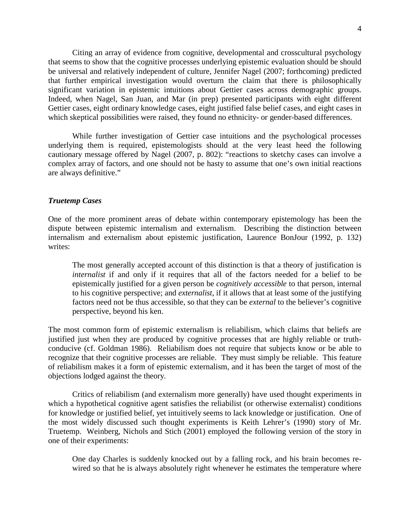Citing an array of evidence from cognitive, developmental and crosscultural psychology that seems to show that the cognitive processes underlying epistemic evaluation should be should be universal and relatively independent of culture, Jennifer Nagel (2007; forthcoming) predicted that further empirical investigation would overturn the claim that there is philosophically significant variation in epistemic intuitions about Gettier cases across demographic groups. Indeed, when Nagel, San Juan, and Mar (in prep) presented participants with eight different Gettier cases, eight ordinary knowledge cases, eight justified false belief cases, and eight cases in which skeptical possibilities were raised, they found no ethnicity- or gender-based differences.

While further investigation of Gettier case intuitions and the psychological processes underlying them is required, epistemologists should at the very least heed the following cautionary message offered by Nagel (2007, p. 802): "reactions to sketchy cases can involve a complex array of factors, and one should not be hasty to assume that one's own initial reactions are always definitive."

## *Truetemp Cases*

One of the more prominent areas of debate within contemporary epistemology has been the dispute between epistemic internalism and externalism. Describing the distinction between internalism and externalism about epistemic justification, Laurence BonJour (1992, p. 132) writes:

The most generally accepted account of this distinction is that a theory of justification is *internalist* if and only if it requires that all of the factors needed for a belief to be epistemically justified for a given person be *cognitively accessible* to that person, internal to his cognitive perspective; and *externalist*, if it allows that at least some of the justifying factors need not be thus accessible, so that they can be *external* to the believer's cognitive perspective, beyond his ken.

The most common form of epistemic externalism is reliabilism, which claims that beliefs are justified just when they are produced by cognitive processes that are highly reliable or truthconducive (cf. Goldman 1986). Reliabilism does not require that subjects know or be able to recognize that their cognitive processes are reliable. They must simply be reliable. This feature of reliabilism makes it a form of epistemic externalism, and it has been the target of most of the objections lodged against the theory.

Critics of reliabilism (and externalism more generally) have used thought experiments in which a hypothetical cognitive agent satisfies the reliabilist (or otherwise externalist) conditions for knowledge or justified belief, yet intuitively seems to lack knowledge or justification. One of the most widely discussed such thought experiments is Keith Lehrer's (1990) story of Mr. Truetemp. Weinberg, Nichols and Stich (2001) employed the following version of the story in one of their experiments:

One day Charles is suddenly knocked out by a falling rock, and his brain becomes rewired so that he is always absolutely right whenever he estimates the temperature where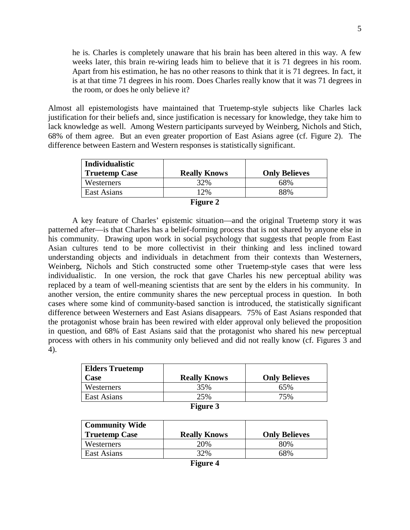he is. Charles is completely unaware that his brain has been altered in this way. A few weeks later, this brain re-wiring leads him to believe that it is 71 degrees in his room. Apart from his estimation, he has no other reasons to think that it is 71 degrees. In fact, it is at that time 71 degrees in his room. Does Charles really know that it was 71 degrees in the room, or does he only believe it?

Almost all epistemologists have maintained that Truetemp-style subjects like Charles lack justification for their beliefs and, since justification is necessary for knowledge, they take him to lack knowledge as well. Among Western participants surveyed by Weinberg, Nichols and Stich, 68% of them agree. But an even greater proportion of East Asians agree (cf. Figure 2). The difference between Eastern and Western responses is statistically significant.

| Individualistic      |                     |                      |
|----------------------|---------------------|----------------------|
| <b>Truetemp Case</b> | <b>Really Knows</b> | <b>Only Believes</b> |
| Westerners           | 32%                 | 68%                  |
| East Asians          | 12%                 | 88%                  |
|                      | Figure 2            |                      |

A key feature of Charles' epistemic situation—and the original Truetemp story it was patterned after—is that Charles has a belief-forming process that is not shared by anyone else in his community. Drawing upon work in social psychology that suggests that people from East Asian cultures tend to be more collectivist in their thinking and less inclined toward understanding objects and individuals in detachment from their contexts than Westerners, Weinberg, Nichols and Stich constructed some other Truetemp-style cases that were less individualistic. In one version, the rock that gave Charles his new perceptual ability was replaced by a team of well-meaning scientists that are sent by the elders in his community. In another version, the entire community shares the new perceptual process in question. In both cases where some kind of community-based sanction is introduced, the statistically significant difference between Westerners and East Asians disappears. 75% of East Asians responded that the protagonist whose brain has been rewired with elder approval only believed the proposition in question, and 68% of East Asians said that the protagonist who shared his new perceptual process with others in his community only believed and did not really know (cf. Figures 3 and 4).

| <b>Elders Truetemp</b><br><b>Case</b> | <b>Really Knows</b> | <b>Only Believes</b> |
|---------------------------------------|---------------------|----------------------|
| Westerners                            | 35%                 | 65%                  |
| East Asians                           | 25%                 | 75%                  |
|                                       |                     |                      |

| рш<br>г |  |
|---------|--|
|         |  |

| <b>Community Wide</b><br><b>Truetemp Case</b> | <b>Really Knows</b> | <b>Only Believes</b> |
|-----------------------------------------------|---------------------|----------------------|
| Westerners                                    | 20%                 | 80%                  |
| East Asians                                   | 32%                 | 68%                  |
|                                               |                     |                      |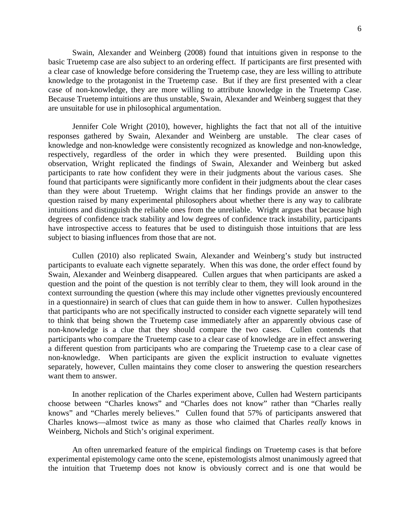Swain, Alexander and Weinberg (2008) found that intuitions given in response to the basic Truetemp case are also subject to an ordering effect. If participants are first presented with a clear case of knowledge before considering the Truetemp case, they are less willing to attribute knowledge to the protagonist in the Truetemp case. But if they are first presented with a clear case of non-knowledge, they are more willing to attribute knowledge in the Truetemp Case. Because Truetemp intuitions are thus unstable, Swain, Alexander and Weinberg suggest that they are unsuitable for use in philosophical argumentation.

Jennifer Cole Wright (2010), however, highlights the fact that not all of the intuitive responses gathered by Swain, Alexander and Weinberg are unstable. The clear cases of knowledge and non-knowledge were consistently recognized as knowledge and non-knowledge, respectively, regardless of the order in which they were presented. Building upon this observation, Wright replicated the findings of Swain, Alexander and Weinberg but asked participants to rate how confident they were in their judgments about the various cases. She found that participants were significantly more confident in their judgments about the clear cases than they were about Truetemp. Wright claims that her findings provide an answer to the question raised by many experimental philosophers about whether there is any way to calibrate intuitions and distinguish the reliable ones from the unreliable. Wright argues that because high degrees of confidence track stability and low degrees of confidence track instability, participants have introspective access to features that be used to distinguish those intuitions that are less subject to biasing influences from those that are not.

Cullen (2010) also replicated Swain, Alexander and Weinberg's study but instructed participants to evaluate each vignette separately. When this was done, the order effect found by Swain, Alexander and Weinberg disappeared. Cullen argues that when participants are asked a question and the point of the question is not terribly clear to them, they will look around in the context surrounding the question (where this may include other vignettes previously encountered in a questionnaire) in search of clues that can guide them in how to answer. Cullen hypothesizes that participants who are not specifically instructed to consider each vignette separately will tend to think that being shown the Truetemp case immediately after an apparently obvious case of non-knowledge is a clue that they should compare the two cases. Cullen contends that participants who compare the Truetemp case to a clear case of knowledge are in effect answering a different question from participants who are comparing the Truetemp case to a clear case of non-knowledge. When participants are given the explicit instruction to evaluate vignettes separately, however, Cullen maintains they come closer to answering the question researchers want them to answer.

In another replication of the Charles experiment above, Cullen had Western participants choose between "Charles knows" and "Charles does not know" rather than "Charles really knows" and "Charles merely believes." Cullen found that 57% of participants answered that Charles knows—almost twice as many as those who claimed that Charles *really* knows in Weinberg, Nichols and Stich's original experiment.

An often unremarked feature of the empirical findings on Truetemp cases is that before experimental epistemology came onto the scene, epistemologists almost unanimously agreed that the intuition that Truetemp does not know is obviously correct and is one that would be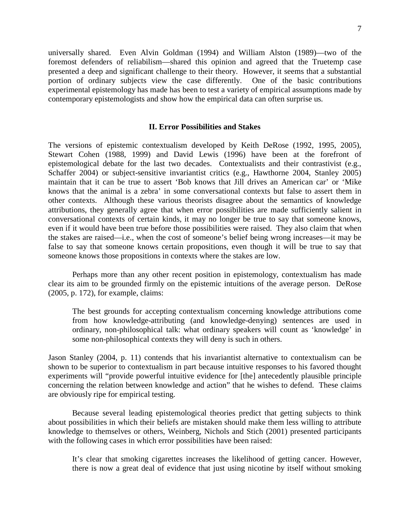universally shared. Even Alvin Goldman (1994) and William Alston (1989)—two of the foremost defenders of reliabilism—shared this opinion and agreed that the Truetemp case presented a deep and significant challenge to their theory. However, it seems that a substantial portion of ordinary subjects view the case differently. One of the basic contributions experimental epistemology has made has been to test a variety of empirical assumptions made by contemporary epistemologists and show how the empirical data can often surprise us.

#### **II. Error Possibilities and Stakes**

The versions of epistemic contextualism developed by Keith DeRose (1992, 1995, 2005), Stewart Cohen (1988, 1999) and David Lewis (1996) have been at the forefront of epistemological debate for the last two decades. Contextualists and their contrastivist (e.g., Schaffer 2004) or subject-sensitive invariantist critics (e.g., Hawthorne 2004, Stanley 2005) maintain that it can be true to assert 'Bob knows that Jill drives an American car' or 'Mike knows that the animal is a zebra' in some conversational contexts but false to assert them in other contexts. Although these various theorists disagree about the semantics of knowledge attributions, they generally agree that when error possibilities are made sufficiently salient in conversational contexts of certain kinds, it may no longer be true to say that someone knows, even if it would have been true before those possibilities were raised. They also claim that when the stakes are raised—i.e., when the cost of someone's belief being wrong increases—it may be false to say that someone knows certain propositions, even though it will be true to say that someone knows those propositions in contexts where the stakes are low.

Perhaps more than any other recent position in epistemology, contextualism has made clear its aim to be grounded firmly on the epistemic intuitions of the average person. DeRose (2005, p. 172), for example, claims:

The best grounds for accepting contextualism concerning knowledge attributions come from how knowledge-attributing (and knowledge-denying) sentences are used in ordinary, non-philosophical talk: what ordinary speakers will count as 'knowledge' in some non-philosophical contexts they will deny is such in others.

Jason Stanley (2004, p. 11) contends that his invariantist alternative to contextualism can be shown to be superior to contextualism in part because intuitive responses to his favored thought experiments will "provide powerful intuitive evidence for [the] antecedently plausible principle concerning the relation between knowledge and action" that he wishes to defend. These claims are obviously ripe for empirical testing.

Because several leading epistemological theories predict that getting subjects to think about possibilities in which their beliefs are mistaken should make them less willing to attribute knowledge to themselves or others, Weinberg, Nichols and Stich (2001) presented participants with the following cases in which error possibilities have been raised:

It's clear that smoking cigarettes increases the likelihood of getting cancer. However, there is now a great deal of evidence that just using nicotine by itself without smoking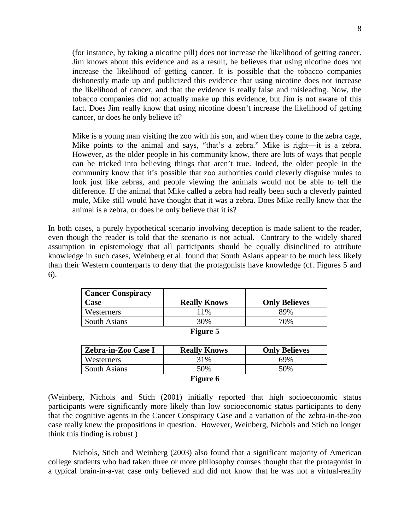(for instance, by taking a nicotine pill) does not increase the likelihood of getting cancer. Jim knows about this evidence and as a result, he believes that using nicotine does not increase the likelihood of getting cancer. It is possible that the tobacco companies dishonestly made up and publicized this evidence that using nicotine does not increase the likelihood of cancer, and that the evidence is really false and misleading. Now, the tobacco companies did not actually make up this evidence, but Jim is not aware of this fact. Does Jim really know that using nicotine doesn't increase the likelihood of getting cancer, or does he only believe it?

Mike is a young man visiting the zoo with his son, and when they come to the zebra cage, Mike points to the animal and says, "that's a zebra." Mike is right—it is a zebra. However, as the older people in his community know, there are lots of ways that people can be tricked into believing things that aren't true. Indeed, the older people in the community know that it's possible that zoo authorities could cleverly disguise mules to look just like zebras, and people viewing the animals would not be able to tell the difference. If the animal that Mike called a zebra had really been such a cleverly painted mule, Mike still would have thought that it was a zebra. Does Mike really know that the animal is a zebra, or does he only believe that it is?

In both cases, a purely hypothetical scenario involving deception is made salient to the reader, even though the reader is told that the scenario is not actual. Contrary to the widely shared assumption in epistemology that all participants should be equally disinclined to attribute knowledge in such cases, Weinberg et al. found that South Asians appear to be much less likely than their Western counterparts to deny that the protagonists have knowledge (cf. Figures 5 and 6).

| <b>Cancer Conspiracy</b><br>Case | <b>Really Knows</b> | <b>Only Believes</b> |
|----------------------------------|---------------------|----------------------|
| Westerners                       | 11%                 | 89%                  |
| <b>South Asians</b>              | 30%                 | 70%                  |
|                                  | --                  |                      |

| ווועו |  |
|-------|--|
|-------|--|

| Zebra-in-Zoo Case I | <b>Really Knows</b> | <b>Only Believes</b> |
|---------------------|---------------------|----------------------|
| Westerners          | 31%                 | 69%                  |
| South Asians        | 50%                 | 50%                  |
| Figure 6            |                     |                      |

(Weinberg, Nichols and Stich (2001) initially reported that high socioeconomic status participants were significantly more likely than low socioeconomic status participants to deny that the cognitive agents in the Cancer Conspiracy Case and a variation of the zebra-in-the-zoo case really knew the propositions in question. However, Weinberg, Nichols and Stich no longer think this finding is robust.)

Nichols, Stich and Weinberg (2003) also found that a significant majority of American college students who had taken three or more philosophy courses thought that the protagonist in a typical brain-in-a-vat case only believed and did not know that he was not a virtual-reality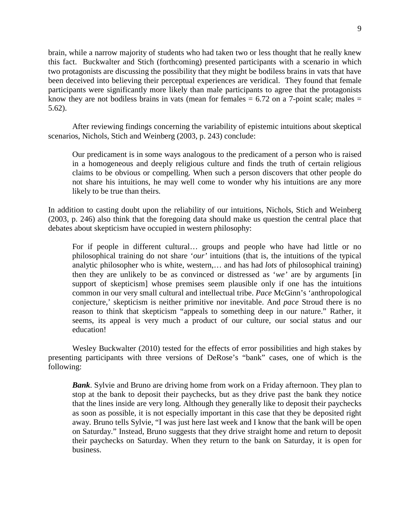brain, while a narrow majority of students who had taken two or less thought that he really knew this fact. Buckwalter and Stich (forthcoming) presented participants with a scenario in which two protagonists are discussing the possibility that they might be bodiless brains in vats that have been deceived into believing their perceptual experiences are veridical. They found that female participants were significantly more likely than male participants to agree that the protagonists know they are not bodiless brains in vats (mean for females  $= 6.72$  on a 7-point scale; males  $=$ 5.62).

After reviewing findings concerning the variability of epistemic intuitions about skeptical scenarios, Nichols, Stich and Weinberg (2003, p. 243) conclude:

Our predicament is in some ways analogous to the predicament of a person who is raised in a homogeneous and deeply religious culture and finds the truth of certain religious claims to be obvious or compelling. When such a person discovers that other people do not share his intuitions, he may well come to wonder why his intuitions are any more likely to be true than theirs.

In addition to casting doubt upon the reliability of our intuitions, Nichols, Stich and Weinberg (2003, p. 246) also think that the foregoing data should make us question the central place that debates about skepticism have occupied in western philosophy:

For if people in different cultural… groups and people who have had little or no philosophical training do not share '*our'* intuitions (that is, the intuitions of the typical analytic philosopher who is white, western,… and has had *lots* of philosophical training) then they are unlikely to be as convinced or distressed as '*we'* are by arguments [in support of skepticism] whose premises seem plausible only if one has the intuitions common in our very small cultural and intellectual tribe. *Pace* McGinn's 'anthropological conjecture,' skepticism is neither primitive nor inevitable. And *pace* Stroud there is no reason to think that skepticism "appeals to something deep in our nature." Rather, it seems, its appeal is very much a product of our culture, our social status and our education!

Wesley Buckwalter (2010) tested for the effects of error possibilities and high stakes by presenting participants with three versions of DeRose's "bank" cases, one of which is the following:

*Bank*. Sylvie and Bruno are driving home from work on a Friday afternoon. They plan to stop at the bank to deposit their paychecks, but as they drive past the bank they notice that the lines inside are very long. Although they generally like to deposit their paychecks as soon as possible, it is not especially important in this case that they be deposited right away. Bruno tells Sylvie, "I was just here last week and I know that the bank will be open on Saturday." Instead, Bruno suggests that they drive straight home and return to deposit their paychecks on Saturday. When they return to the bank on Saturday, it is open for business.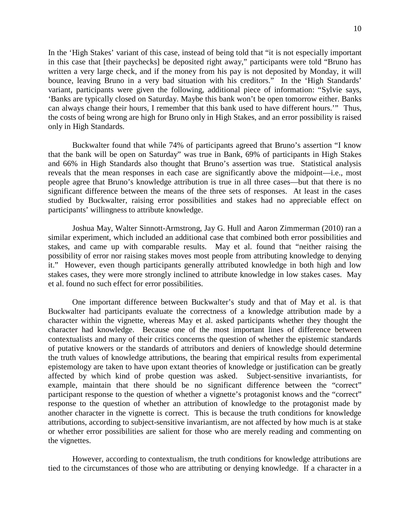In the 'High Stakes' variant of this case, instead of being told that "it is not especially important in this case that [their paychecks] be deposited right away," participants were told "Bruno has written a very large check, and if the money from his pay is not deposited by Monday, it will bounce, leaving Bruno in a very bad situation with his creditors." In the 'High Standards' variant, participants were given the following, additional piece of information: "Sylvie says, 'Banks are typically closed on Saturday. Maybe this bank won't be open tomorrow either. Banks can always change their hours, I remember that this bank used to have different hours.'" Thus, the costs of being wrong are high for Bruno only in High Stakes, and an error possibility is raised only in High Standards.

Buckwalter found that while 74% of participants agreed that Bruno's assertion "I know that the bank will be open on Saturday" was true in Bank, 69% of participants in High Stakes and 66% in High Standards also thought that Bruno's assertion was true. Statistical analysis reveals that the mean responses in each case are significantly above the midpoint—i.e., most people agree that Bruno's knowledge attribution is true in all three cases—but that there is no significant difference between the means of the three sets of responses. At least in the cases studied by Buckwalter, raising error possibilities and stakes had no appreciable effect on participants' willingness to attribute knowledge.

Joshua May, Walter Sinnott-Armstrong, Jay G. Hull and Aaron Zimmerman (2010) ran a similar experiment, which included an additional case that combined both error possibilities and stakes, and came up with comparable results. May et al. found that "neither raising the possibility of error nor raising stakes moves most people from attributing knowledge to denying it." However, even though participants generally attributed knowledge in both high and low stakes cases, they were more strongly inclined to attribute knowledge in low stakes cases. May et al. found no such effect for error possibilities.

One important difference between Buckwalter's study and that of May et al. is that Buckwalter had participants evaluate the correctness of a knowledge attribution made by a character within the vignette, whereas May et al. asked participants whether they thought the character had knowledge. Because one of the most important lines of difference between contextualists and many of their critics concerns the question of whether the epistemic standards of putative knowers or the standards of attributors and deniers of knowledge should determine the truth values of knowledge attributions, the bearing that empirical results from experimental epistemology are taken to have upon extant theories of knowledge or justification can be greatly affected by which kind of probe question was asked. Subject-sensitive invariantists, for example, maintain that there should be no significant difference between the "correct" participant response to the question of whether a vignette's protagonist knows and the "correct" response to the question of whether an attribution of knowledge to the protagonist made by another character in the vignette is correct. This is because the truth conditions for knowledge attributions, according to subject-sensitive invariantism, are not affected by how much is at stake or whether error possibilities are salient for those who are merely reading and commenting on the vignettes.

However, according to contextualism, the truth conditions for knowledge attributions are tied to the circumstances of those who are attributing or denying knowledge. If a character in a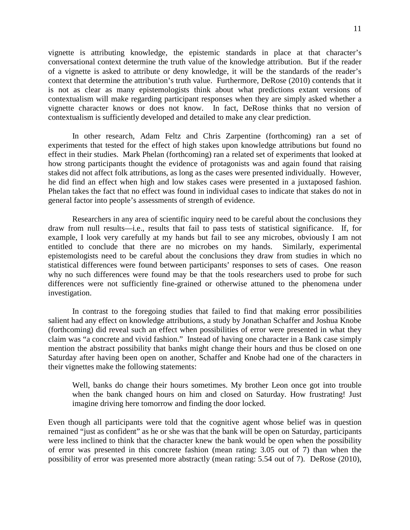vignette is attributing knowledge, the epistemic standards in place at that character's conversational context determine the truth value of the knowledge attribution. But if the reader of a vignette is asked to attribute or deny knowledge, it will be the standards of the reader's context that determine the attribution's truth value. Furthermore, DeRose (2010) contends that it is not as clear as many epistemologists think about what predictions extant versions of contextualism will make regarding participant responses when they are simply asked whether a vignette character knows or does not know. In fact, DeRose thinks that no version of contextualism is sufficiently developed and detailed to make any clear prediction.

In other research, Adam Feltz and Chris Zarpentine (forthcoming) ran a set of experiments that tested for the effect of high stakes upon knowledge attributions but found no effect in their studies. Mark Phelan (forthcoming) ran a related set of experiments that looked at how strong participants thought the evidence of protagonists was and again found that raising stakes did not affect folk attributions, as long as the cases were presented individually. However, he did find an effect when high and low stakes cases were presented in a juxtaposed fashion. Phelan takes the fact that no effect was found in individual cases to indicate that stakes do not in general factor into people's assessments of strength of evidence.

Researchers in any area of scientific inquiry need to be careful about the conclusions they draw from null results—i.e., results that fail to pass tests of statistical significance. If, for example, I look very carefully at my hands but fail to see any microbes, obviously I am not entitled to conclude that there are no microbes on my hands. Similarly, experimental epistemologists need to be careful about the conclusions they draw from studies in which no statistical differences were found between participants' responses to sets of cases. One reason why no such differences were found may be that the tools researchers used to probe for such differences were not sufficiently fine-grained or otherwise attuned to the phenomena under investigation.

In contrast to the foregoing studies that failed to find that making error possibilities salient had any effect on knowledge attributions, a study by Jonathan Schaffer and Joshua Knobe (forthcoming) did reveal such an effect when possibilities of error were presented in what they claim was "a concrete and vivid fashion." Instead of having one character in a Bank case simply mention the abstract possibility that banks might change their hours and thus be closed on one Saturday after having been open on another, Schaffer and Knobe had one of the characters in their vignettes make the following statements:

Well, banks do change their hours sometimes. My brother Leon once got into trouble when the bank changed hours on him and closed on Saturday. How frustrating! Just imagine driving here tomorrow and finding the door locked.

Even though all participants were told that the cognitive agent whose belief was in question remained "just as confident" as he or she was that the bank will be open on Saturday, participants were less inclined to think that the character knew the bank would be open when the possibility of error was presented in this concrete fashion (mean rating: 3.05 out of 7) than when the possibility of error was presented more abstractly (mean rating: 5.54 out of 7). DeRose (2010),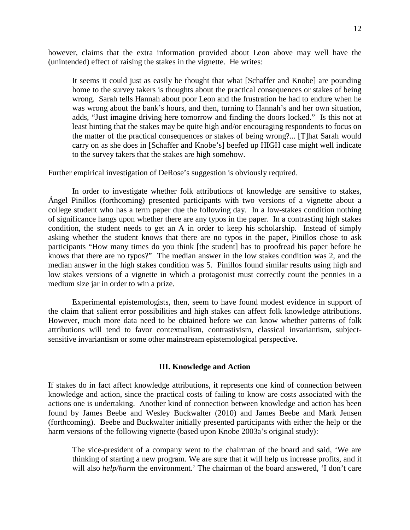however, claims that the extra information provided about Leon above may well have the (unintended) effect of raising the stakes in the vignette. He writes:

It seems it could just as easily be thought that what [Schaffer and Knobe] are pounding home to the survey takers is thoughts about the practical consequences or stakes of being wrong. Sarah tells Hannah about poor Leon and the frustration he had to endure when he was wrong about the bank's hours, and then, turning to Hannah's and her own situation, adds, "Just imagine driving here tomorrow and finding the doors locked." Is this not at least hinting that the stakes may be quite high and/or encouraging respondents to focus on the matter of the practical consequences or stakes of being wrong?... [T]hat Sarah would carry on as she does in [Schaffer and Knobe's] beefed up HIGH case might well indicate to the survey takers that the stakes are high somehow.

Further empirical investigation of DeRose's suggestion is obviously required.

In order to investigate whether folk attributions of knowledge are sensitive to stakes, Ángel Pinillos (forthcoming) presented participants with two versions of a vignette about a college student who has a term paper due the following day. In a low-stakes condition nothing of significance hangs upon whether there are any typos in the paper. In a contrasting high stakes condition, the student needs to get an A in order to keep his scholarship. Instead of simply asking whether the student knows that there are no typos in the paper, Pinillos chose to ask participants "How many times do you think [the student] has to proofread his paper before he knows that there are no typos?" The median answer in the low stakes condition was 2, and the median answer in the high stakes condition was 5. Pinillos found similar results using high and low stakes versions of a vignette in which a protagonist must correctly count the pennies in a medium size jar in order to win a prize.

Experimental epistemologists, then, seem to have found modest evidence in support of the claim that salient error possibilities and high stakes can affect folk knowledge attributions. However, much more data need to be obtained before we can know whether patterns of folk attributions will tend to favor contextualism, contrastivism, classical invariantism, subjectsensitive invariantism or some other mainstream epistemological perspective.

#### **III. Knowledge and Action**

If stakes do in fact affect knowledge attributions, it represents one kind of connection between knowledge and action, since the practical costs of failing to know are costs associated with the actions one is undertaking. Another kind of connection between knowledge and action has been found by James Beebe and Wesley Buckwalter (2010) and James Beebe and Mark Jensen (forthcoming). Beebe and Buckwalter initially presented participants with either the help or the harm versions of the following vignette (based upon Knobe 2003a's original study):

The vice-president of a company went to the chairman of the board and said, 'We are thinking of starting a new program. We are sure that it will help us increase profits, and it will also *help/harm* the environment.' The chairman of the board answered, 'I don't care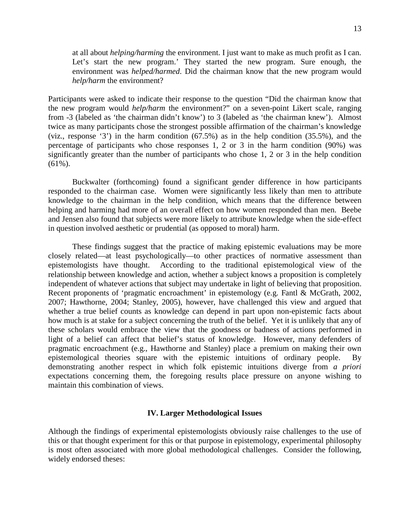at all about *helping/harming* the environment. I just want to make as much profit as I can. Let's start the new program.' They started the new program. Sure enough, the environment was *helped/harmed*. Did the chairman know that the new program would *help/harm* the environment?

Participants were asked to indicate their response to the question "Did the chairman know that the new program would *help/harm* the environment?" on a seven-point Likert scale, ranging from -3 (labeled as 'the chairman didn't know') to 3 (labeled as 'the chairman knew'). Almost twice as many participants chose the strongest possible affirmation of the chairman's knowledge (viz., response '3') in the harm condition (67.5%) as in the help condition (35.5%), and the percentage of participants who chose responses 1, 2 or 3 in the harm condition (90%) was significantly greater than the number of participants who chose 1, 2 or 3 in the help condition  $(61\%)$ .

Buckwalter (forthcoming) found a significant gender difference in how participants responded to the chairman case. Women were significantly less likely than men to attribute knowledge to the chairman in the help condition, which means that the difference between helping and harming had more of an overall effect on how women responded than men. Beebe and Jensen also found that subjects were more likely to attribute knowledge when the side-effect in question involved aesthetic or prudential (as opposed to moral) harm.

These findings suggest that the practice of making epistemic evaluations may be more closely related—at least psychologically—to other practices of normative assessment than epistemologists have thought. According to the traditional epistemological view of the relationship between knowledge and action, whether a subject knows a proposition is completely independent of whatever actions that subject may undertake in light of believing that proposition. Recent proponents of 'pragmatic encroachment' in epistemology (e.g. Fantl & McGrath, 2002, 2007; Hawthorne, 2004; Stanley, 2005), however, have challenged this view and argued that whether a true belief counts as knowledge can depend in part upon non-epistemic facts about how much is at stake for a subject concerning the truth of the belief. Yet it is unlikely that any of these scholars would embrace the view that the goodness or badness of actions performed in light of a belief can affect that belief's status of knowledge. However, many defenders of pragmatic encroachment (e.g., Hawthorne and Stanley) place a premium on making their own epistemological theories square with the epistemic intuitions of ordinary people. By demonstrating another respect in which folk epistemic intuitions diverge from *a priori* expectations concerning them, the foregoing results place pressure on anyone wishing to maintain this combination of views.

### **IV. Larger Methodological Issues**

Although the findings of experimental epistemologists obviously raise challenges to the use of this or that thought experiment for this or that purpose in epistemology, experimental philosophy is most often associated with more global methodological challenges. Consider the following, widely endorsed theses: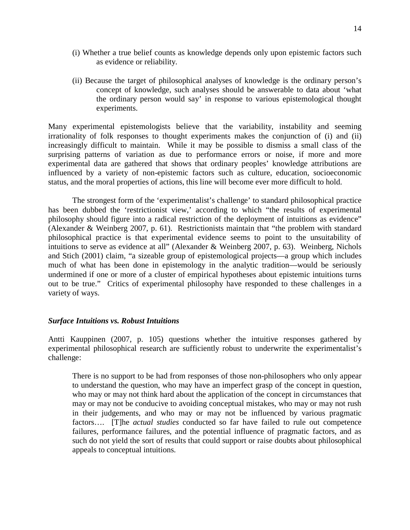- (i) Whether a true belief counts as knowledge depends only upon epistemic factors such as evidence or reliability.
- (ii) Because the target of philosophical analyses of knowledge is the ordinary person's concept of knowledge, such analyses should be answerable to data about 'what the ordinary person would say' in response to various epistemological thought experiments.

Many experimental epistemologists believe that the variability, instability and seeming irrationality of folk responses to thought experiments makes the conjunction of (i) and (ii) increasingly difficult to maintain. While it may be possible to dismiss a small class of the surprising patterns of variation as due to performance errors or noise, if more and more experimental data are gathered that shows that ordinary peoples' knowledge attributions are influenced by a variety of non-epistemic factors such as culture, education, socioeconomic status, and the moral properties of actions, this line will become ever more difficult to hold.

The strongest form of the 'experimentalist's challenge' to standard philosophical practice has been dubbed the 'restrictionist view,' according to which "the results of experimental philosophy should figure into a radical restriction of the deployment of intuitions as evidence" (Alexander & Weinberg 2007, p. 61). Restrictionists maintain that "the problem with standard philosophical practice is that experimental evidence seems to point to the unsuitability of intuitions to serve as evidence at all" (Alexander & Weinberg 2007, p. 63). Weinberg, Nichols and Stich (2001) claim, "a sizeable group of epistemological projects—a group which includes much of what has been done in epistemology in the analytic tradition—would be seriously undermined if one or more of a cluster of empirical hypotheses about epistemic intuitions turns out to be true." Critics of experimental philosophy have responded to these challenges in a variety of ways.

# *Surface Intuitions vs. Robust Intuitions*

Antti Kauppinen (2007, p. 105) questions whether the intuitive responses gathered by experimental philosophical research are sufficiently robust to underwrite the experimentalist's challenge:

There is no support to be had from responses of those non-philosophers who only appear to understand the question, who may have an imperfect grasp of the concept in question, who may or may not think hard about the application of the concept in circumstances that may or may not be conducive to avoiding conceptual mistakes, who may or may not rush in their judgements, and who may or may not be influenced by various pragmatic factors…. [T]he *actual studies* conducted so far have failed to rule out competence failures, performance failures, and the potential influence of pragmatic factors, and as such do not yield the sort of results that could support or raise doubts about philosophical appeals to conceptual intuitions.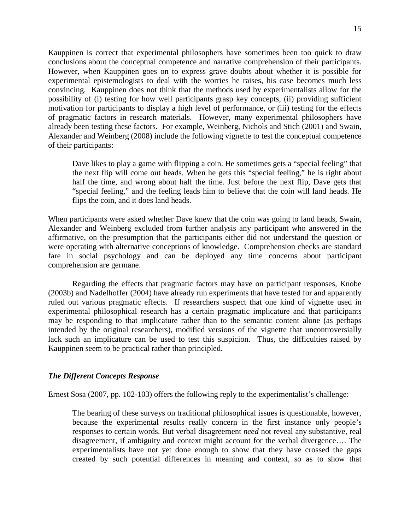Kauppinen is correct that experimental philosophers have sometimes been too quick to draw conclusions about the conceptual competence and narrative comprehension of their participants. However, when Kauppinen goes on to express grave doubts about whether it is possible for experimental epistemologists to deal with the worries he raises, his case becomes much less convincing. Kauppinen does not think that the methods used by experimentalists allow for the possibility of (i) testing for how well participants grasp key concepts, (ii) providing sufficient motivation for participants to display a high level of performance, or (iii) testing for the effects of pragmatic factors in research materials. However, many experimental philosophers have already been testing these factors. For example, Weinberg, Nichols and Stich (2001) and Swain, Alexander and Weinberg (2008) include the following vignette to test the conceptual competence of their participants:

Dave likes to play a game with flipping a coin. He sometimes gets a "special feeling" that the next flip will come out heads. When he gets this "special feeling," he is right about half the time, and wrong about half the time. Just before the next flip, Dave gets that "special feeling," and the feeling leads him to believe that the coin will land heads. He flips the coin, and it does land heads.

When participants were asked whether Dave knew that the coin was going to land heads, Swain, Alexander and Weinberg excluded from further analysis any participant who answered in the affirmative, on the presumption that the participants either did not understand the question or were operating with alternative conceptions of knowledge. Comprehension checks are standard fare in social psychology and can be deployed any time concerns about participant comprehension are germane.

Regarding the effects that pragmatic factors may have on participant responses, Knobe (2003b) and Nadelhoffer (2004) have already run experiments that have tested for and apparently ruled out various pragmatic effects. If researchers suspect that one kind of vignette used in experimental philosophical research has a certain pragmatic implicature and that participants may be responding to that implicature rather than to the semantic content alone (as perhaps intended by the original researchers), modified versions of the vignette that uncontroversially lack such an implicature can be used to test this suspicion. Thus, the difficulties raised by Kauppinen seem to be practical rather than principled.

## *The Different Concepts Response*

Ernest Sosa (2007, pp. 102-103) offers the following reply to the experimentalist's challenge:

The bearing of these surveys on traditional philosophical issues is questionable, however, because the experimental results really concern in the first instance only people's responses to certain words. But verbal disagreement *need* not reveal any substantive, real disagreement, if ambiguity and context might account for the verbal divergence…. The experimentalists have not yet done enough to show that they have crossed the gaps created by such potential differences in meaning and context, so as to show that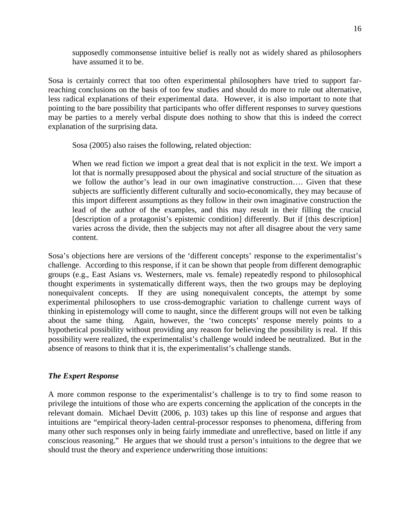supposedly commonsense intuitive belief is really not as widely shared as philosophers have assumed it to be.

Sosa is certainly correct that too often experimental philosophers have tried to support farreaching conclusions on the basis of too few studies and should do more to rule out alternative, less radical explanations of their experimental data. However, it is also important to note that pointing to the bare possibility that participants who offer different responses to survey questions may be parties to a merely verbal dispute does nothing to show that this is indeed the correct explanation of the surprising data.

Sosa (2005) also raises the following, related objection:

When we read fiction we import a great deal that is not explicit in the text. We import a lot that is normally presupposed about the physical and social structure of the situation as we follow the author's lead in our own imaginative construction…. Given that these subjects are sufficiently different culturally and socio-economically, they may because of this import different assumptions as they follow in their own imaginative construction the lead of the author of the examples, and this may result in their filling the crucial [description of a protagonist's epistemic condition] differently. But if [this description] varies across the divide, then the subjects may not after all disagree about the very same content.

Sosa's objections here are versions of the 'different concepts' response to the experimentalist's challenge. According to this response, if it can be shown that people from different demographic groups (e.g., East Asians vs. Westerners, male vs. female) repeatedly respond to philosophical thought experiments in systematically different ways, then the two groups may be deploying nonequivalent concepts. If they are using nonequivalent concepts, the attempt by some experimental philosophers to use cross-demographic variation to challenge current ways of thinking in epistemology will come to naught, since the different groups will not even be talking about the same thing. Again, however, the 'two concepts' response merely points to a hypothetical possibility without providing any reason for believing the possibility is real. If this possibility were realized, the experimentalist's challenge would indeed be neutralized. But in the absence of reasons to think that it is, the experimentalist's challenge stands.

# *The Expert Response*

A more common response to the experimentalist's challenge is to try to find some reason to privilege the intuitions of those who are experts concerning the application of the concepts in the relevant domain. Michael Devitt (2006, p. 103) takes up this line of response and argues that intuitions are "empirical theory-laden central-processor responses to phenomena, differing from many other such responses only in being fairly immediate and unreflective, based on little if any conscious reasoning." He argues that we should trust a person's intuitions to the degree that we should trust the theory and experience underwriting those intuitions: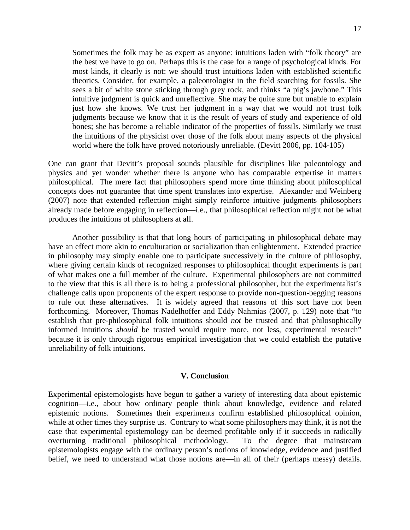Sometimes the folk may be as expert as anyone: intuitions laden with "folk theory" are the best we have to go on. Perhaps this is the case for a range of psychological kinds. For most kinds, it clearly is not: we should trust intuitions laden with established scientific theories. Consider, for example, a paleontologist in the field searching for fossils. She sees a bit of white stone sticking through grey rock, and thinks "a pig's jawbone." This intuitive judgment is quick and unreflective. She may be quite sure but unable to explain just how she knows. We trust her judgment in a way that we would not trust folk judgments because we know that it is the result of years of study and experience of old bones; she has become a reliable indicator of the properties of fossils. Similarly we trust the intuitions of the physicist over those of the folk about many aspects of the physical world where the folk have proved notoriously unreliable. (Devitt 2006, pp. 104-105)

One can grant that Devitt's proposal sounds plausible for disciplines like paleontology and physics and yet wonder whether there is anyone who has comparable expertise in matters philosophical. The mere fact that philosophers spend more time thinking about philosophical concepts does not guarantee that time spent translates into expertise. Alexander and Weinberg (2007) note that extended reflection might simply reinforce intuitive judgments philosophers already made before engaging in reflection—i.e., that philosophical reflection might not be what produces the intuitions of philosophers at all.

Another possibility is that that long hours of participating in philosophical debate may have an effect more akin to enculturation or socialization than enlightenment. Extended practice in philosophy may simply enable one to participate successively in the culture of philosophy, where giving certain kinds of recognized responses to philosophical thought experiments is part of what makes one a full member of the culture. Experimental philosophers are not committed to the view that this is all there is to being a professional philosopher, but the experimentalist's challenge calls upon proponents of the expert response to provide non-question-begging reasons to rule out these alternatives. It is widely agreed that reasons of this sort have not been forthcoming. Moreover, Thomas Nadelhoffer and Eddy Nahmias (2007, p. 129) note that "to establish that pre-philosophical folk intuitions should *not* be trusted and that philosophically informed intuitions *should* be trusted would require more, not less, experimental research" because it is only through rigorous empirical investigation that we could establish the putative unreliability of folk intuitions.

#### **V. Conclusion**

Experimental epistemologists have begun to gather a variety of interesting data about epistemic cognition—i.e., about how ordinary people think about knowledge, evidence and related epistemic notions. Sometimes their experiments confirm established philosophical opinion, while at other times they surprise us. Contrary to what some philosophers may think, it is not the case that experimental epistemology can be deemed profitable only if it succeeds in radically overturning traditional philosophical methodology. To the degree that mainstream epistemologists engage with the ordinary person's notions of knowledge, evidence and justified belief, we need to understand what those notions are—in all of their (perhaps messy) details.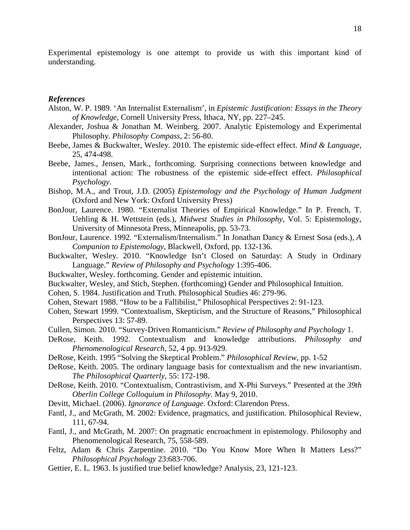Experimental epistemology is one attempt to provide us with this important kind of understanding.

## *References*

- Alston, W. P. 1989. 'An Internalist Externalism', in *Epistemic Justification: Essays in the Theory of Knowledge*, Cornell University Press, Ithaca, NY, pp. 227–245.
- Alexander, Joshua & Jonathan M. Weinberg. 2007. Analytic Epistemology and Experimental Philosophy. *Philosophy Compass*, 2: 56-80.
- Beebe, James & Buckwalter, Wesley. 2010. The epistemic side-effect effect. *Mind & Language*, 25, 474-498.
- Beebe, James., Jensen, Mark., forthcoming. Surprising connections between knowledge and intentional action: The robustness of the epistemic side-effect effect. *Philosophical Psychology*.
- Bishop, M.A., and Trout, J.D. (2005) *Epistemology and the Psychology of Human Judgment* (Oxford and New York: Oxford University Press)
- BonJour, Laurence. 1980. "Externalist Theories of Empirical Knowledge." In P. French, T. Uehling & H. Wettstein (eds.), *Midwest Studies in Philosophy*, Vol. 5: Epistemology, University of Minnesota Press, Minneapolis, pp. 53-73.
- BonJour, Laurence. 1992. "Externalism/Internalism." In Jonathan Dancy & Ernest Sosa (eds.), *A Companion to Epistemology*, Blackwell, Oxford, pp. 132-136.
- Buckwalter, Wesley. 2010. "Knowledge Isn't Closed on Saturday: A Study in Ordinary Language." *Review of Philosophy and Psychology* 1:395-406.
- Buckwalter, Wesley. forthcoming. Gender and epistemic intuition.
- Buckwalter, Wesley, and Stich, Stephen. (forthcoming) Gender and Philosophical Intuition.
- Cohen, S. 1984. Justification and Truth. Philosophical Studies 46: 279-96.
- Cohen, Stewart 1988. "How to be a Fallibilist," Philosophical Perspectives 2: 91-123.
- Cohen, Stewart 1999. "Contextualism, Skepticism, and the Structure of Reasons," Philosophical Perspectives 13: 57-89.
- Cullen, Simon. 2010. "Survey-Driven Romanticism." *Review of Philosophy and Psychology* 1.
- DeRose, Keith. 1992. Contextualism and knowledge attributions. *Philosophy and Phenomenological Research*, 52, 4 pp. 913-929.
- DeRose, Keith. 1995 "Solving the Skeptical Problem." *Philosophical Review*, pp. 1-52
- DeRose, Keith. 2005. The ordinary language basis for contextualism and the new invariantism. *The Philosophical Quarterly*, 55: 172-198.
- DeRose, Keith. 2010. "Contextualism, Contrastivism, and X-Phi Surveys." Presented at the *39th Oberlin College Colloquium in Philosophy*. May 9, 2010.
- Devitt, Michael. (2006). *Ignorance of Language*. Oxford: Clarendon Press.
- Fantl, J., and McGrath, M. 2002: Evidence, pragmatics, and justification. Philosophical Review, 111, 67-94.
- Fantl, J., and McGrath, M. 2007: On pragmatic encroachment in epistemology. Philosophy and Phenomenological Research, 75, 558-589.
- Feltz, Adam & Chris Zarpentine. 2010. "Do You Know More When It Matters Less?" *Philosophical Psychology* 23:683-706.
- Gettier, E. L. 1963. Is justified true belief knowledge? Analysis, 23, 121-123.